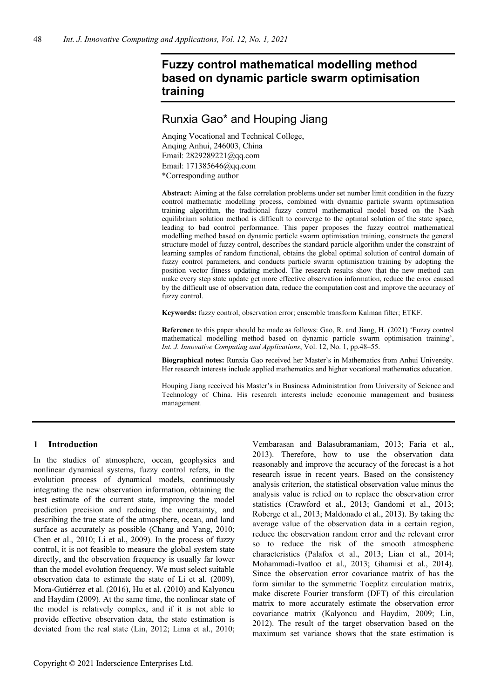# **Fuzzy control mathematical modelling method based on dynamic particle swarm optimisation training**

# Runxia Gao\* and Houping Jiang

Anqing Vocational and Technical College, Anqing Anhui, 246003, China Email: 2829289221@qq.com Email: 171385646@qq.com \*Corresponding author

**Abstract:** Aiming at the false correlation problems under set number limit condition in the fuzzy control mathematic modelling process, combined with dynamic particle swarm optimisation training algorithm, the traditional fuzzy control mathematical model based on the Nash equilibrium solution method is difficult to converge to the optimal solution of the state space, leading to bad control performance. This paper proposes the fuzzy control mathematical modelling method based on dynamic particle swarm optimisation training, constructs the general structure model of fuzzy control, describes the standard particle algorithm under the constraint of learning samples of random functional, obtains the global optimal solution of control domain of fuzzy control parameters, and conducts particle swarm optimisation training by adopting the position vector fitness updating method. The research results show that the new method can make every step state update get more effective observation information, reduce the error caused by the difficult use of observation data, reduce the computation cost and improve the accuracy of fuzzy control.

**Keywords:** fuzzy control; observation error; ensemble transform Kalman filter; ETKF.

**Reference** to this paper should be made as follows: Gao, R. and Jiang, H. (2021) 'Fuzzy control mathematical modelling method based on dynamic particle swarm optimisation training', *Int. J. Innovative Computing and Applications*, Vol. 12, No. 1, pp.48–55.

**Biographical notes:** Runxia Gao received her Master's in Mathematics from Anhui University. Her research interests include applied mathematics and higher vocational mathematics education.

Houping Jiang received his Master's in Business Administration from University of Science and Technology of China. His research interests include economic management and business management.

## **1 Introduction**

In the studies of atmosphere, ocean, geophysics and nonlinear dynamical systems, fuzzy control refers, in the evolution process of dynamical models, continuously integrating the new observation information, obtaining the best estimate of the current state, improving the model prediction precision and reducing the uncertainty, and describing the true state of the atmosphere, ocean, and land surface as accurately as possible (Chang and Yang, 2010; Chen et al., 2010; Li et al., 2009). In the process of fuzzy control, it is not feasible to measure the global system state directly, and the observation frequency is usually far lower than the model evolution frequency. We must select suitable observation data to estimate the state of Li et al. (2009), Mora-Gutiérrez et al. (2016), Hu et al. (2010) and Kalyoncu and Haydim (2009). At the same time, the nonlinear state of the model is relatively complex, and if it is not able to provide effective observation data, the state estimation is deviated from the real state (Lin, 2012; Lima et al., 2010;

Vembarasan and Balasubramaniam, 2013; Faria et al., 2013). Therefore, how to use the observation data reasonably and improve the accuracy of the forecast is a hot research issue in recent years. Based on the consistency analysis criterion, the statistical observation value minus the analysis value is relied on to replace the observation error statistics (Crawford et al., 2013; Gandomi et al., 2013; Roberge et al., 2013; Maldonado et al., 2013). By taking the average value of the observation data in a certain region, reduce the observation random error and the relevant error so to reduce the risk of the smooth atmospheric characteristics (Palafox et al., 2013; Lian et al., 2014; Mohammadi-Ivatloo et al., 2013; Ghamisi et al., 2014). Since the observation error covariance matrix of has the form similar to the symmetric Toeplitz circulation matrix, make discrete Fourier transform (DFT) of this circulation matrix to more accurately estimate the observation error covariance matrix (Kalyoncu and Haydim, 2009; Lin, 2012). The result of the target observation based on the maximum set variance shows that the state estimation is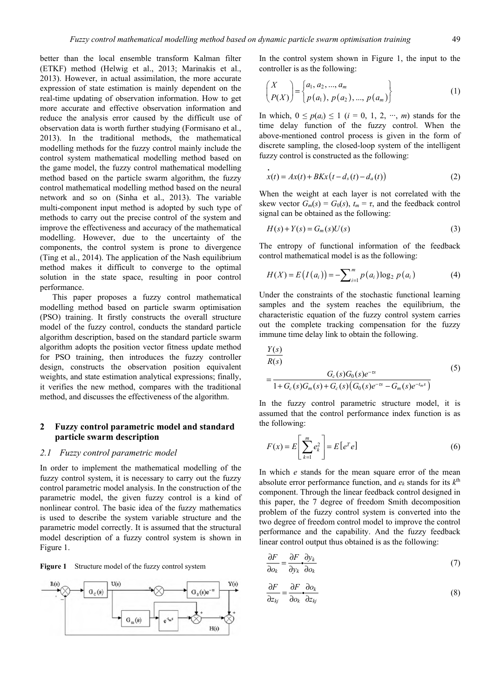better than the local ensemble transform Kalman filter (ETKF) method (Helwig et al., 2013; Marinakis et al., 2013). However, in actual assimilation, the more accurate expression of state estimation is mainly dependent on the real-time updating of observation information. How to get more accurate and effective observation information and reduce the analysis error caused by the difficult use of observation data is worth further studying (Formisano et al., 2013). In the traditional methods, the mathematical modelling methods for the fuzzy control mainly include the control system mathematical modelling method based on the game model, the fuzzy control mathematical modelling method based on the particle swarm algorithm, the fuzzy control mathematical modelling method based on the neural network and so on (Sinha et al., 2013). The variable multi-component input method is adopted by such type of methods to carry out the precise control of the system and improve the effectiveness and accuracy of the mathematical modelling. However, due to the uncertainty of the components, the control system is prone to divergence (Ting et al., 2014). The application of the Nash equilibrium method makes it difficult to converge to the optimal solution in the state space, resulting in poor control performance.

This paper proposes a fuzzy control mathematical modelling method based on particle swarm optimisation (PSO) training. It firstly constructs the overall structure model of the fuzzy control, conducts the standard particle algorithm description, based on the standard particle swarm algorithm adopts the position vector fitness update method for PSO training, then introduces the fuzzy controller design, constructs the observation position equivalent weights, and state estimation analytical expressions; finally, it verifies the new method, compares with the traditional method, and discusses the effectiveness of the algorithm.

### **2 Fuzzy control parametric model and standard particle swarm description**

#### *2.1 Fuzzy control parametric model*

In order to implement the mathematical modelling of the fuzzy control system, it is necessary to carry out the fuzzy control parametric model analysis. In the construction of the parametric model, the given fuzzy control is a kind of nonlinear control. The basic idea of the fuzzy mathematics is used to describe the system variable structure and the parametric model correctly. It is assumed that the structural model description of a fuzzy control system is shown in Figure 1.

**Figure 1** Structure model of the fuzzy control system



In the control system shown in Figure 1, the input to the controller is as the following:

$$
\begin{pmatrix} X \\ P(X) \end{pmatrix} = \begin{cases} a_1, a_2, ..., a_m \\ p(a_1), p(a_2), ..., p(a_m) \end{cases}
$$
 (1)

In which,  $0 \le p(a_i) \le 1$  (*i* = 0, 1, 2, …, *m*) stands for the time delay function of the fuzzy control. When the above-mentioned control process is given in the form of discrete sampling, the closed-loop system of the intelligent fuzzy control is constructed as the following:

$$
\dot{x}(t) = Ax(t) + BKx(t - d_s(t) - d_a(t))
$$
\n(2)

When the weight at each layer is not correlated with the skew vector  $G_m(s) = G_0(s)$ ,  $t_m = \tau$ , and the feedback control signal can be obtained as the following:

$$
H(s) + Y(s) = G_m(s)U(s)
$$
\n(3)

The entropy of functional information of the feedback control mathematical model is as the following:

$$
H(X) = E(I(a_i)) = -\sum_{i=1}^{m} p(a_i) \log_2 p(a_i)
$$
 (4)

Under the constraints of the stochastic functional learning samples and the system reaches the equilibrium, the characteristic equation of the fuzzy control system carries out the complete tracking compensation for the fuzzy immune time delay link to obtain the following.

$$
\frac{Y(s)}{R(s)}
$$
\n
$$
= \frac{G_c(s)G_0(s)e^{-\tau s}}{1+G_c(s)G_m(s)+G_c(s)(G_0(s)e^{-\tau s}-G_m(s)e^{-t_m s})}
$$
\n(5)

In the fuzzy control parametric structure model, it is assumed that the control performance index function is as the following:

$$
F(x) = E\left[\sum_{k=1}^{m} e_k^2\right] = E\left[e^T e\right] \tag{6}
$$

In which *e* stands for the mean square error of the mean absolute error performance function, and  $e_k$  stands for its  $k^{\text{th}}$ component. Through the linear feedback control designed in this paper, the 7 degree of freedom Smith decomposition problem of the fuzzy control system is converted into the two degree of freedom control model to improve the control performance and the capability. And the fuzzy feedback linear control output thus obtained is as the following:

$$
\frac{\partial F}{\partial o_k} = \frac{\partial F}{\partial y_k} \frac{\partial y_k}{\partial o_k} \tag{7}
$$

$$
\frac{\partial F}{\partial z_{kj}} = \frac{\partial F}{\partial o_k} \cdot \frac{\partial o_k}{\partial z_{kj}}\tag{8}
$$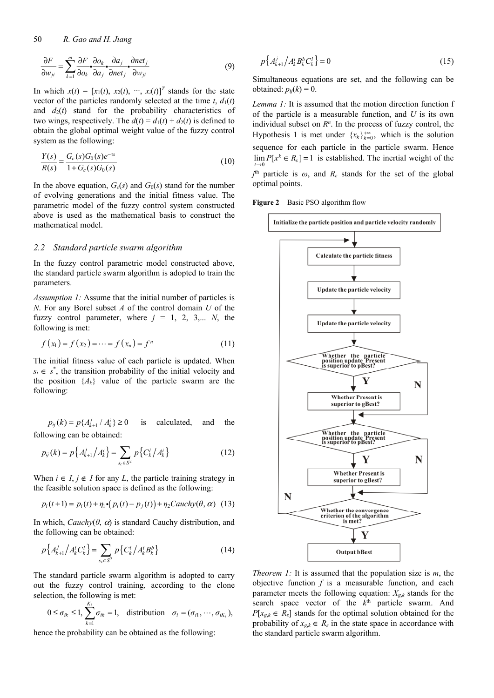50 *R. Gao and H. Jiang*

$$
\frac{\partial F}{\partial w_{ji}} = \sum_{k=1}^{m} \frac{\partial F}{\partial \omega_k} \cdot \frac{\partial \omega_k}{\partial a_j} \cdot \frac{\partial a_j}{\partial net_j} \cdot \frac{\partial net_j}{\partial w_{ji}}
$$
(9)

In which  $x(t) = [x_1(t), x_2(t), \dots, x_i(t)]^T$  stands for the state vector of the particles randomly selected at the time  $t$ ,  $d_1(t)$ and  $d_2(t)$  stand for the probability characteristics of two wings, respectively. The  $d(t) = d_1(t) + d_2(t)$  is defined to obtain the global optimal weight value of the fuzzy control system as the following:

$$
\frac{Y(s)}{R(s)} = \frac{G_c(s)G_0(s)e^{-\tau s}}{1 + G_c(s)G_0(s)}
$$
(10)

In the above equation,  $G_c(s)$  and  $G_0(s)$  stand for the number of evolving generations and the initial fitness value. The parametric model of the fuzzy control system constructed above is used as the mathematical basis to construct the mathematical model.

#### *2.2 Standard particle swarm algorithm*

In the fuzzy control parametric model constructed above, the standard particle swarm algorithm is adopted to train the parameters.

*Assumption 1:* Assume that the initial number of particles is *N*. For any Borel subset *A* of the control domain *U* of the fuzzy control parameter, where  $j = 1, 2, 3,... N$ , the following is met:

$$
f(x_1) = f(x_2) = \dots = f(x_n) = f^n
$$
 (11)

The initial fitness value of each particle is updated. When  $s_i \in s^*$ , the transition probability of the initial velocity and the position  ${A_k}$  value of the particle swarm are the following:

 $p_{ij}(k) = p\{A_{k+1}^j / A_k^i\} \ge 0$  is calculated, and the following can be obtained:

$$
p_{ij}(k) = p\left\{A_{k+1}^j / A_k^i\right\} = \sum_{s_c \in S^2} p\left\{C_k^i / A_k^i\right\} \tag{12}
$$

When  $i \in I, j \notin I$  for any *L*, the particle training strategy in the feasible solution space is defined as the following:

$$
p_i(t+1) = p_i(t) + \eta_1 \cdot (p_i(t) - p_j(t)) + \eta_2 Cauchy(\theta, \alpha) \tag{13}
$$

In which,  $Cauchy(\theta, \alpha)$  is standard Cauchy distribution, and the following can be obtained:

$$
p\left\{A_{k+1}^{j}/A_{k}^{i}C_{k}^{l}\right\} = \sum_{s_{c} \in S^{2}} p\left\{C_{k}^{l}/A_{k}^{i}B_{k}^{b}\right\}
$$
 (14)

The standard particle swarm algorithm is adopted to carry out the fuzzy control training, according to the clone selection, the following is met:

$$
0 \le \sigma_{ik} \le 1
$$
,  $\sum_{k=1}^{K_i} \sigma_{ik} = 1$ , distribution  $\sigma_i = (\sigma_{i1}, \dots, \sigma_{iK_i})$ ,

hence the probability can be obtained as the following:

$$
p\left\{A_{k+1}^{j}/A_{k}^{i}B_{k}^{b}C_{k}^{l}\right\}=0
$$
\n(15)

Simultaneous equations are set, and the following can be obtained:  $p_{ii}(k) = 0$ .

*Lemma 1:* It is assumed that the motion direction function f of the particle is a measurable function, and *U* is its own individual subset on  $R<sup>n</sup>$ . In the process of fuzzy control, the Hypothesis 1 is met under  ${x_k}_{k=0}^{+\infty}$ , which is the solution sequence for each particle in the particle swarm. Hence  $\lim P[x^k \in R_{\varepsilon}] = 1$  is established. The inertial weight of the  $j<sup>th</sup>$  particle is  $\omega$ , and  $R_{\varepsilon}$  stands for the set of the global optimal points.

**Figure 2** Basic PSO algorithm flow



*Theorem 1:* It is assumed that the population size is *m*, the objective function  $f$  is a measurable function, and each parameter meets the following equation:  $X_{g,k}$  stands for the search space vector of the  $k<sup>th</sup>$  particle swarm. And  $P[x_{g,k} \in R_{\varepsilon}]$  stands for the optimal solution obtained for the probability of  $x_{g,k} \in R_{\varepsilon}$  in the state space in accordance with the standard particle swarm algorithm.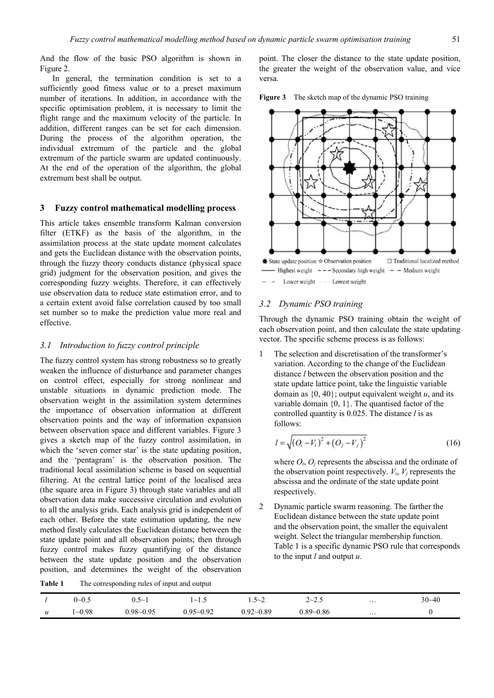And the flow of the basic PSO algorithm is shown in Figure 2.

In general, the termination condition is set to a sufficiently good fitness value or to a preset maximum number of iterations. In addition, in accordance with the specific optimisation problem, it is necessary to limit the flight range and the maximum velocity of the particle. In addition, different ranges can be set for each dimension. During the process of the algorithm operation, the individual extremum of the particle and the global extremum of the particle swarm are updated continuously. At the end of the operation of the algorithm, the global extremum best shall be output.

### **3 Fuzzy control mathematical modelling process**

This article takes ensemble transform Kalman conversion filter (ETKF) as the basis of the algorithm, in the assimilation process at the state update moment calculates and gets the Euclidean distance with the observation points, through the fuzzy theory conducts distance (physical space grid) judgment for the observation position, and gives the corresponding fuzzy weights. Therefore, it can effectively use observation data to reduce state estimation error, and to a certain extent avoid false correlation caused by too small set number so to make the prediction value more real and effective.

#### *3.1 Introduction to fuzzy control principle*

The fuzzy control system has strong robustness so to greatly weaken the influence of disturbance and parameter changes on control effect, especially for strong nonlinear and unstable situations in dynamic prediction mode. The observation weight in the assimilation system determines the importance of observation information at different observation points and the way of information expansion between observation space and different variables. Figure 3 gives a sketch map of the fuzzy control assimilation, in which the 'seven corner star' is the state updating position, and the 'pentagram' is the observation position. The traditional local assimilation scheme is based on sequential filtering. At the central lattice point of the localised area (the square area in Figure 3) through state variables and all observation data make successive circulation and evolution to all the analysis grids. Each analysis grid is independent of each other. Before the state estimation updating, the new method firstly calculates the Euclidean distance between the state update point and all observation points; then through fuzzy control makes fuzzy quantifying of the distance between the state update position and the observation position, and determines the weight of the observation

point. The closer the distance to the state update position, the greater the weight of the observation value, and vice versa.





#### *3.2 Dynamic PSO training*

Through the dynamic PSO training obtain the weight of each observation point, and then calculate the state updating vector. The specific scheme process is as follows:

1 The selection and discretisation of the transformer's variation. According to the change of the Euclidean distance *l* between the observation position and the state update lattice point, take the linguistic variable domain as  $\{0, 40\}$ ; output equivalent weight *u*, and its variable domain  $\{0, 1\}$ . The quantised factor of the controlled quantity is 0.025. The distance *l* is as follows:

$$
l = \sqrt{(O_i - V_i)^2 + (O_j - V_j)^2}
$$
 (16)

where  $O_i$ ,  $O_j$  represents the abscissa and the ordinate of the observation point respectively.  $V_i$ ,  $V_j$  represents the abscissa and the ordinate of the state update point respectively.

2 Dynamic particle swarm reasoning. The farther the Euclidean distance between the state update point and the observation point, the smaller the equivalent weight. Select the triangular membership function. Table 1 is a specific dynamic PSO rule that corresponds to the input *l* and output *u*.

**Table 1** The corresponding rules of input and output

|                  | $\sim$<br>$0\!\!\sim\!\!0.5$ | ∼<br>u. j     | $\sim$<br>ر. 1'                | $\sim$<br>$\sim$<br>__ | $2 - 2.5$     | $\cdots$ | $30 - 40$ |
|------------------|------------------------------|---------------|--------------------------------|------------------------|---------------|----------|-----------|
| $\boldsymbol{u}$ | $1 - 0.98$                   | $0.98 - 0.95$ | $-0.92$<br>$0.95\!\!\sim\!\!0$ | $0.92 - 0.89$          | $0.89 - 0.86$ | $\cdots$ | υ         |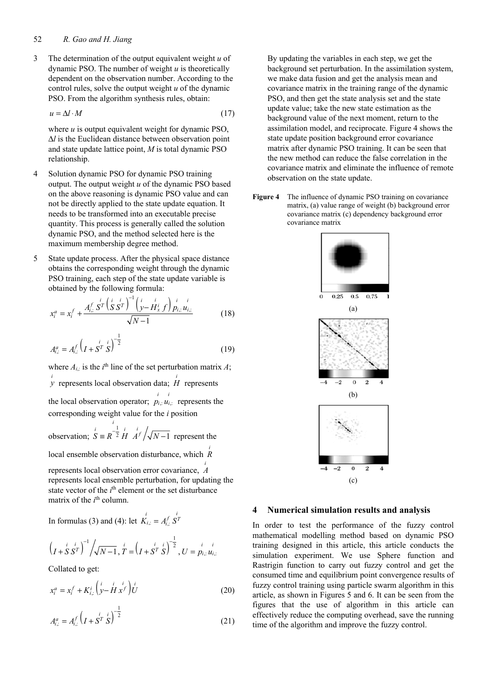3 The determination of the output equivalent weight *u* of dynamic PSO. The number of weight *u* is theoretically dependent on the observation number. According to the control rules, solve the output weight *u* of the dynamic PSO. From the algorithm synthesis rules, obtain:

$$
u = \Delta l \cdot M \tag{17}
$$

where *u* is output equivalent weight for dynamic PSO, Δ*l* is the Euclidean distance between observation point and state update lattice point, *M* is total dynamic PSO relationship.

- 4 Solution dynamic PSO for dynamic PSO training output. The output weight *u* of the dynamic PSO based on the above reasoning is dynamic PSO value and can not be directly applied to the state update equation. It needs to be transformed into an executable precise quantity. This process is generally called the solution dynamic PSO, and the method selected here is the maximum membership degree method.
- 5 State update process. After the physical space distance obtains the corresponding weight through the dynamic PSO training, each step of the state update variable is obtained by the following formula:

$$
x_i^a = x_i^f + \frac{A_{i,:}^f S^T \left(s S^T\right)^{-1} \left(\frac{i}{\mathcal{Y} - H_x^i} f\right) \frac{i}{p_{i,:} u_{i,:}}}{\sqrt{\mathcal{N} - 1}} \tag{18}
$$

$$
A_{i,:}^a = A_{i,:}^f \left( I + S^T \dot{S} \right)^{-\frac{1}{2}}
$$
 (19)

where  $A_{i,:}$  is the  $i^{\text{th}}$  line of the set perturbation matrix  $A$ ; *i y* represents local observation data; *<sup>i</sup> H* represents the local observation operator;  $\vec{p}_{i,:}$   $\vec{u}_{i,:}$  represents the corresponding weight value for the *i* position

observation; 1 <sup>2</sup> H  $A^f/\sqrt{N-1}$  $S = R^{-\frac{1}{2}} H A^{f} / \sqrt{N-1}$  represent the

local ensemble observation disturbance, which *<sup>i</sup> R*

represents local observation error covariance, *<sup>i</sup> A* represents local ensemble perturbation, for updating the state vector of the *i*<sup>th</sup> element or the set disturbance matrix of the *i*<sup>th</sup> column.

In formulas (3) and (4): let  $K_{i,:} = A_{i,:}^f S^T$ 

$$
\left(\frac{i}{I+S}S^{T}\right)^{-1}\left/\sqrt{N-1},\frac{i}{T}=\left(\frac{i}{I+S^{T}}\frac{i}{S}\right)^{-\frac{1}{2}},U=\frac{i}{p_{i,:}}\frac{i}{u_{i,:}}
$$

Collated to get:

$$
x_i^a = x_i^f + K_{i,:}^i \left( \dot{y} - \dot{H} x^f \right) \dot{U}
$$
 (20)

$$
A_{i,:}^a = A_{i,:}^f \left( I + S^T \dot{S} \right)^{-\frac{1}{2}}
$$
 (21)

By updating the variables in each step, we get the background set perturbation. In the assimilation system, we make data fusion and get the analysis mean and covariance matrix in the training range of the dynamic PSO, and then get the state analysis set and the state update value; take the new state estimation as the background value of the next moment, return to the assimilation model, and reciprocate. Figure 4 shows the state update position background error covariance matrix after dynamic PSO training. It can be seen that the new method can reduce the false correlation in the covariance matrix and eliminate the influence of remote observation on the state update.

**Figure 4** The influence of dynamic PSO training on covariance matrix, (a) value range of weight (b) background error covariance matrix (c) dependency background error covariance matrix



#### **4 Numerical simulation results and analysis**

In order to test the performance of the fuzzy control mathematical modelling method based on dynamic PSO training designed in this article, this article conducts the simulation experiment. We use Sphere function and Rastrigin function to carry out fuzzy control and get the consumed time and equilibrium point convergence results of fuzzy control training using particle swarm algorithm in this article, as shown in Figures 5 and 6. It can be seen from the figures that the use of algorithm in this article can effectively reduce the computing overhead, save the running time of the algorithm and improve the fuzzy control.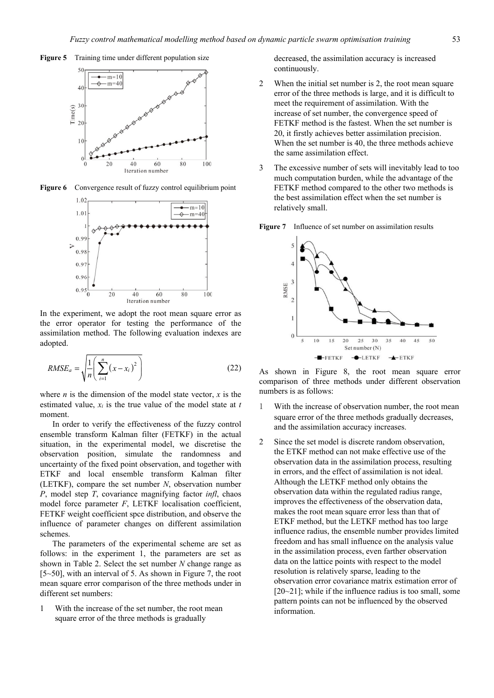



Figure 6 Convergence result of fuzzy control equilibrium point



In the experiment, we adopt the root mean square error as the error operator for testing the performance of the assimilation method. The following evaluation indexes are adopted.

$$
RMSE_a = \sqrt{\frac{1}{n} \left( \sum_{i=1}^{n} (x - x_i)^2 \right)}
$$
 (22)

where  $n$  is the dimension of the model state vector,  $x$  is the estimated value, *xi* is the true value of the model state at *t* moment.

In order to verify the effectiveness of the fuzzy control ensemble transform Kalman filter (FETKF) in the actual situation, in the experimental model, we discretise the observation position, simulate the randomness and uncertainty of the fixed point observation, and together with ETKF and local ensemble transform Kalman filter (LETKF), compare the set number *N*, observation number *P*, model step *T*, covariance magnifying factor *infl*, chaos model force parameter *F*, LETKF localisation coefficient, FETKF weight coefficient spce distribution, and observe the influence of parameter changes on different assimilation schemes.

The parameters of the experimental scheme are set as follows: in the experiment 1, the parameters are set as shown in Table 2. Select the set number *N* change range as [5~50], with an interval of 5. As shown in Figure 7, the root mean square error comparison of the three methods under in different set numbers:

1 With the increase of the set number, the root mean square error of the three methods is gradually

decreased, the assimilation accuracy is increased continuously.

- 2 When the initial set number is 2, the root mean square error of the three methods is large, and it is difficult to meet the requirement of assimilation. With the increase of set number, the convergence speed of FETKF method is the fastest. When the set number is 20, it firstly achieves better assimilation precision. When the set number is 40, the three methods achieve the same assimilation effect.
- 3 The excessive number of sets will inevitably lead to too much computation burden, while the advantage of the FETKF method compared to the other two methods is the best assimilation effect when the set number is relatively small.





As shown in Figure 8, the root mean square error comparison of three methods under different observation numbers is as follows:

- 1 With the increase of observation number, the root mean square error of the three methods gradually decreases, and the assimilation accuracy increases.
- 2 Since the set model is discrete random observation, the ETKF method can not make effective use of the observation data in the assimilation process, resulting in errors, and the effect of assimilation is not ideal. Although the LETKF method only obtains the observation data within the regulated radius range, improves the effectiveness of the observation data, makes the root mean square error less than that of ETKF method, but the LETKF method has too large influence radius, the ensemble number provides limited freedom and has small influence on the analysis value in the assimilation process, even farther observation data on the lattice points with respect to the model resolution is relatively sparse, leading to the observation error covariance matrix estimation error of  $[20-21]$ ; while if the influence radius is too small, some pattern points can not be influenced by the observed information.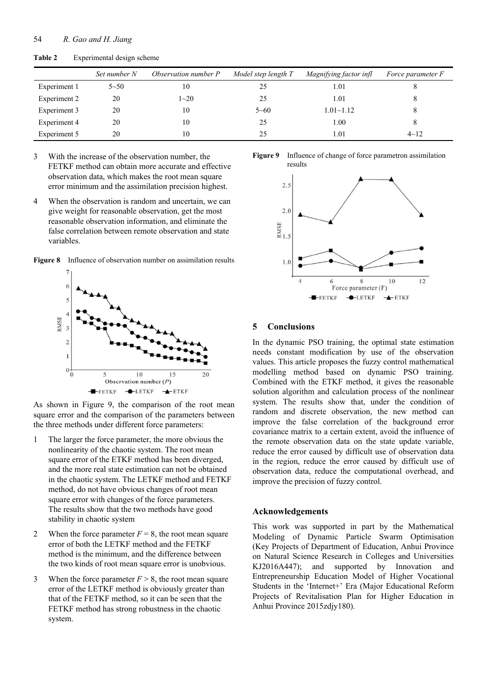|              | Set number N | Observation number P | Model step length T | Magnifying factor infl | Force parameter F |
|--------------|--------------|----------------------|---------------------|------------------------|-------------------|
| Experiment 1 | $5 - 50$     | 10                   | 25                  | 1.01                   | 8                 |
| Experiment 2 | 20           | $1 - 20$             | 25                  | 1.01                   | 8                 |
| Experiment 3 | 20           | 10                   | $5 - 60$            | $1.01 - 1.12$          | 8                 |
| Experiment 4 | 20           | 10                   | 25                  | 1.00                   | 8                 |
| Experiment 5 | 20           | 10                   | 25                  | 1.01                   | $4 - 12$          |

**Table 2** Experimental design scheme

3 With the increase of the observation number, the FETKF method can obtain more accurate and effective observation data, which makes the root mean square error minimum and the assimilation precision highest.

4 When the observation is random and uncertain, we can give weight for reasonable observation, get the most reasonable observation information, and eliminate the false correlation between remote observation and state variables.

**Figure 8** Influence of observation number on assimilation results



As shown in Figure 9, the comparison of the root mean square error and the comparison of the parameters between the three methods under different force parameters:

- 1 The larger the force parameter, the more obvious the nonlinearity of the chaotic system. The root mean square error of the ETKF method has been diverged, and the more real state estimation can not be obtained in the chaotic system. The LETKF method and FETKF method, do not have obvious changes of root mean square error with changes of the force parameters. The results show that the two methods have good stability in chaotic system
- 2 When the force parameter  $F = 8$ , the root mean square error of both the LETKF method and the FETKF method is the minimum, and the difference between the two kinds of root mean square error is unobvious.
- 3 When the force parameter  $F > 8$ , the root mean square error of the LETKF method is obviously greater than that of the FETKF method, so it can be seen that the FETKF method has strong robustness in the chaotic system.

**Figure 9** Influence of change of force parametron assimilation results



## **5 Conclusions**

In the dynamic PSO training, the optimal state estimation needs constant modification by use of the observation values. This article proposes the fuzzy control mathematical modelling method based on dynamic PSO training. Combined with the ETKF method, it gives the reasonable solution algorithm and calculation process of the nonlinear system. The results show that, under the condition of random and discrete observation, the new method can improve the false correlation of the background error covariance matrix to a certain extent, avoid the influence of the remote observation data on the state update variable, reduce the error caused by difficult use of observation data in the region, reduce the error caused by difficult use of observation data, reduce the computational overhead, and improve the precision of fuzzy control.

#### **Acknowledgements**

This work was supported in part by the Mathematical Modeling of Dynamic Particle Swarm Optimisation (Key Projects of Department of Education, Anhui Province on Natural Science Research in Colleges and Universities KJ2016A447); and supported by Innovation and Entrepreneurship Education Model of Higher Vocational Students in the 'Internet+' Era (Major Educational Reform Projects of Revitalisation Plan for Higher Education in Anhui Province 2015zdjy180).